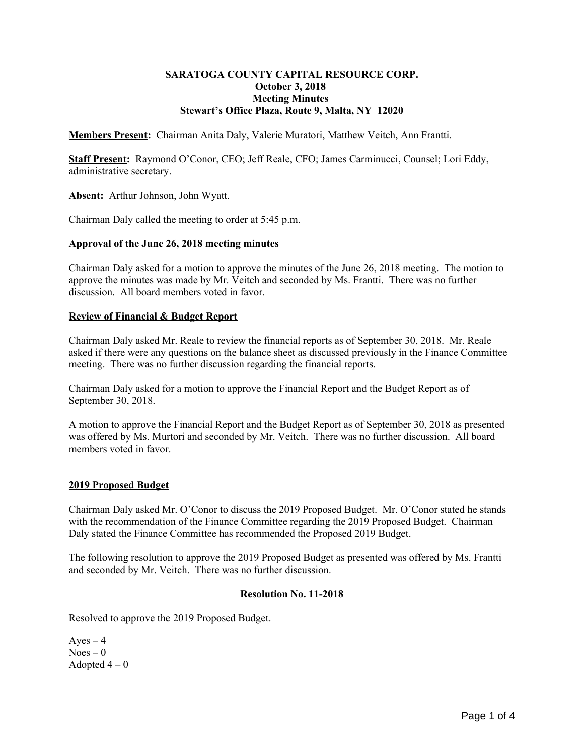# **SARATOGA COUNTY CAPITAL RESOURCE CORP. October 3, 2018 Meeting Minutes Stewart's Office Plaza, Route 9, Malta, NY 12020**

**Members Present:** Chairman Anita Daly, Valerie Muratori, Matthew Veitch, Ann Frantti.

**Staff Present:** Raymond O'Conor, CEO; Jeff Reale, CFO; James Carminucci, Counsel; Lori Eddy, administrative secretary.

**Absent:** Arthur Johnson, John Wyatt.

Chairman Daly called the meeting to order at 5:45 p.m.

### **Approval of the June 26, 2018 meeting minutes**

Chairman Daly asked for a motion to approve the minutes of the June 26, 2018 meeting. The motion to approve the minutes was made by Mr. Veitch and seconded by Ms. Frantti. There was no further discussion. All board members voted in favor.

# **Review of Financial & Budget Report**

Chairman Daly asked Mr. Reale to review the financial reports as of September 30, 2018. Mr. Reale asked if there were any questions on the balance sheet as discussed previously in the Finance Committee meeting. There was no further discussion regarding the financial reports.

Chairman Daly asked for a motion to approve the Financial Report and the Budget Report as of September 30, 2018.

A motion to approve the Financial Report and the Budget Report as of September 30, 2018 as presented was offered by Ms. Murtori and seconded by Mr. Veitch. There was no further discussion. All board members voted in favor.

# **2019 Proposed Budget**

Chairman Daly asked Mr. O'Conor to discuss the 2019 Proposed Budget. Mr. O'Conor stated he stands with the recommendation of the Finance Committee regarding the 2019 Proposed Budget. Chairman Daly stated the Finance Committee has recommended the Proposed 2019 Budget.

The following resolution to approve the 2019 Proposed Budget as presented was offered by Ms. Frantti and seconded by Mr. Veitch. There was no further discussion.

### **Resolution No. 11-2018**

Resolved to approve the 2019 Proposed Budget.

 $Ayes - 4$  $Noes - 0$ Adopted  $4-0$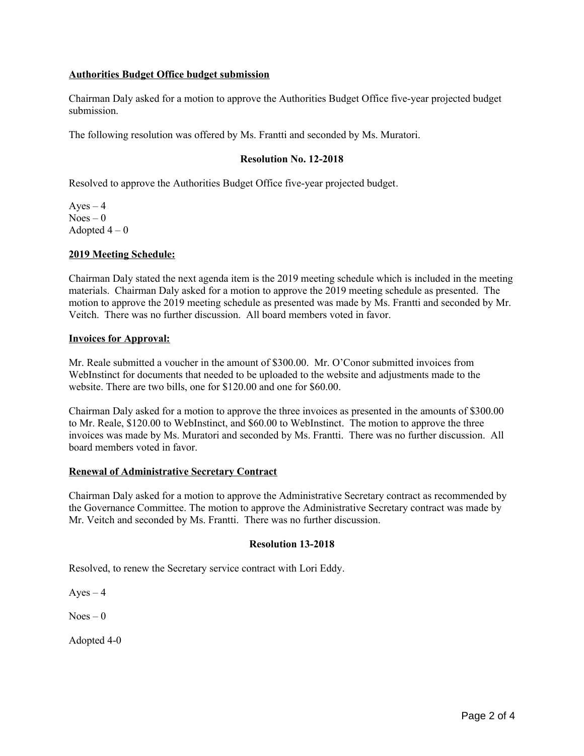# **Authorities Budget Office budget submission**

Chairman Daly asked for a motion to approve the Authorities Budget Office five-year projected budget submission.

The following resolution was offered by Ms. Frantti and seconded by Ms. Muratori.

## **Resolution No. 12-2018**

Resolved to approve the Authorities Budget Office five-year projected budget.

 $Aves - 4$  $Noes - 0$ Adopted  $4-0$ 

### **2019 Meeting Schedule:**

Chairman Daly stated the next agenda item is the 2019 meeting schedule which is included in the meeting materials. Chairman Daly asked for a motion to approve the 2019 meeting schedule as presented. The motion to approve the 2019 meeting schedule as presented was made by Ms. Frantti and seconded by Mr. Veitch. There was no further discussion. All board members voted in favor.

#### **Invoices for Approval:**

Mr. Reale submitted a voucher in the amount of \$300.00. Mr. O'Conor submitted invoices from WebInstinct for documents that needed to be uploaded to the website and adjustments made to the website. There are two bills, one for \$120.00 and one for \$60.00.

Chairman Daly asked for a motion to approve the three invoices as presented in the amounts of \$300.00 to Mr. Reale, \$120.00 to WebInstinct, and \$60.00 to WebInstinct. The motion to approve the three invoices was made by Ms. Muratori and seconded by Ms. Frantti. There was no further discussion. All board members voted in favor.

#### **Renewal of Administrative Secretary Contract**

Chairman Daly asked for a motion to approve the Administrative Secretary contract as recommended by the Governance Committee. The motion to approve the Administrative Secretary contract was made by Mr. Veitch and seconded by Ms. Frantti. There was no further discussion.

#### **Resolution 13-2018**

Resolved, to renew the Secretary service contract with Lori Eddy.

 $Ayes - 4$ 

 $Noes - 0$ 

Adopted 4-0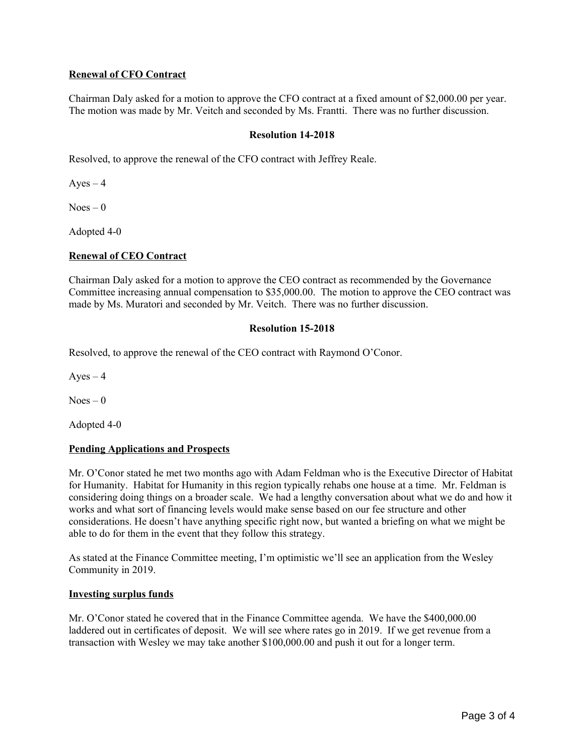# **Renewal of CFO Contract**

Chairman Daly asked for a motion to approve the CFO contract at a fixed amount of \$2,000.00 per year. The motion was made by Mr. Veitch and seconded by Ms. Frantti. There was no further discussion.

## **Resolution 14-2018**

Resolved, to approve the renewal of the CFO contract with Jeffrey Reale.

 $Ayes - 4$ 

 $Noes - 0$ 

Adopted 4-0

### **Renewal of CEO Contract**

Chairman Daly asked for a motion to approve the CEO contract as recommended by the Governance Committee increasing annual compensation to \$35,000.00. The motion to approve the CEO contract was made by Ms. Muratori and seconded by Mr. Veitch. There was no further discussion.

### **Resolution 15-2018**

Resolved, to approve the renewal of the CEO contract with Raymond O'Conor.

 $Ayes - 4$ 

 $Noes - 0$ 

Adopted 4-0

# **Pending Applications and Prospects**

Mr. O'Conor stated he met two months ago with Adam Feldman who is the Executive Director of Habitat for Humanity. Habitat for Humanity in this region typically rehabs one house at a time. Mr. Feldman is considering doing things on a broader scale. We had a lengthy conversation about what we do and how it works and what sort of financing levels would make sense based on our fee structure and other considerations. He doesn't have anything specific right now, but wanted a briefing on what we might be able to do for them in the event that they follow this strategy.

As stated at the Finance Committee meeting, I'm optimistic we'll see an application from the Wesley Community in 2019.

# **Investing surplus funds**

Mr. O'Conor stated he covered that in the Finance Committee agenda. We have the \$400,000.00 laddered out in certificates of deposit. We will see where rates go in 2019. If we get revenue from a transaction with Wesley we may take another \$100,000.00 and push it out for a longer term.